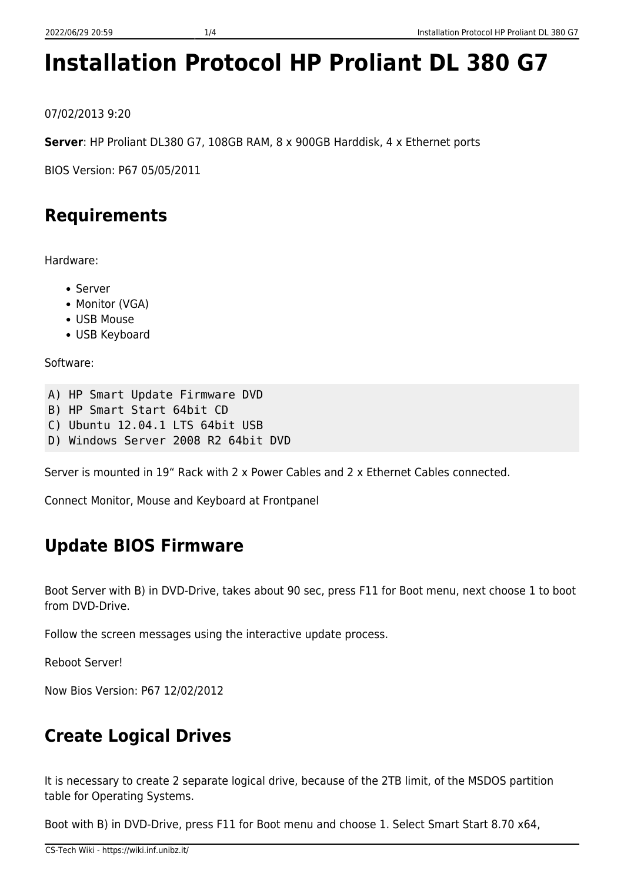# **Installation Protocol HP Proliant DL 380 G7**

07/02/2013 9:20

**Server**: HP Proliant DL380 G7, 108GB RAM, 8 x 900GB Harddisk, 4 x Ethernet ports

BIOS Version: P67 05/05/2011

# **Requirements**

Hardware:

- Server
	- Monitor (VGA)
	- USB Mouse
	- USB Keyboard

Software:

```
A) HP Smart Update Firmware DVD
```
- B) HP Smart Start 64bit CD
- C) Ubuntu 12.04.1 LTS 64bit USB
- D) Windows Server 2008 R2 64bit DVD

Server is mounted in 19" Rack with 2 x Power Cables and 2 x Ethernet Cables connected.

Connect Monitor, Mouse and Keyboard at Frontpanel

## **Update BIOS Firmware**

Boot Server with B) in DVD-Drive, takes about 90 sec, press F11 for Boot menu, next choose 1 to boot from DVD-Drive.

Follow the screen messages using the interactive update process.

Reboot Server!

Now Bios Version: P67 12/02/2012

# **Create Logical Drives**

It is necessary to create 2 separate logical drive, because of the 2TB limit, of the MSDOS partition table for Operating Systems.

Boot with B) in DVD-Drive, press F11 for Boot menu and choose 1. Select Smart Start 8.70 x64,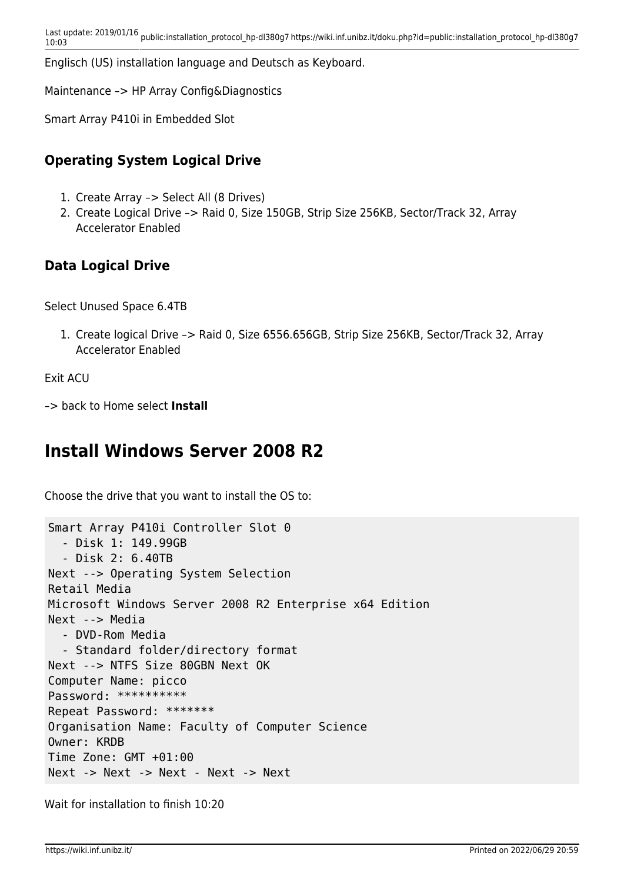Englisch (US) installation language and Deutsch as Keyboard.

Maintenance –> HP Array Config&Diagnostics

Smart Array P410i in Embedded Slot

#### **Operating System Logical Drive**

- 1. Create Array –> Select All (8 Drives)
- 2. Create Logical Drive –> Raid 0, Size 150GB, Strip Size 256KB, Sector/Track 32, Array Accelerator Enabled

#### **Data Logical Drive**

Select Unused Space 6.4TB

1. Create logical Drive –> Raid 0, Size 6556.656GB, Strip Size 256KB, Sector/Track 32, Array Accelerator Enabled

Exit ACU

–> back to Home select **Install**

### **Install Windows Server 2008 R2**

Choose the drive that you want to install the OS to:

```
Smart Array P410i Controller Slot 0
   - Disk 1: 149.99GB
   - Disk 2: 6.40TB
Next --> Operating System Selection
Retail Media
Microsoft Windows Server 2008 R2 Enterprise x64 Edition
Next --> Media
   - DVD-Rom Media
   - Standard folder/directory format
Next --> NTFS Size 80GBN Next OK
Computer Name: picco
Password: **********
Repeat Password: *******
Organisation Name: Faculty of Computer Science
Owner: KRDB
Time Zone: GMT +01:00
Next -> Next -> Next - Next -> Next
```
Wait for installation to finish 10:20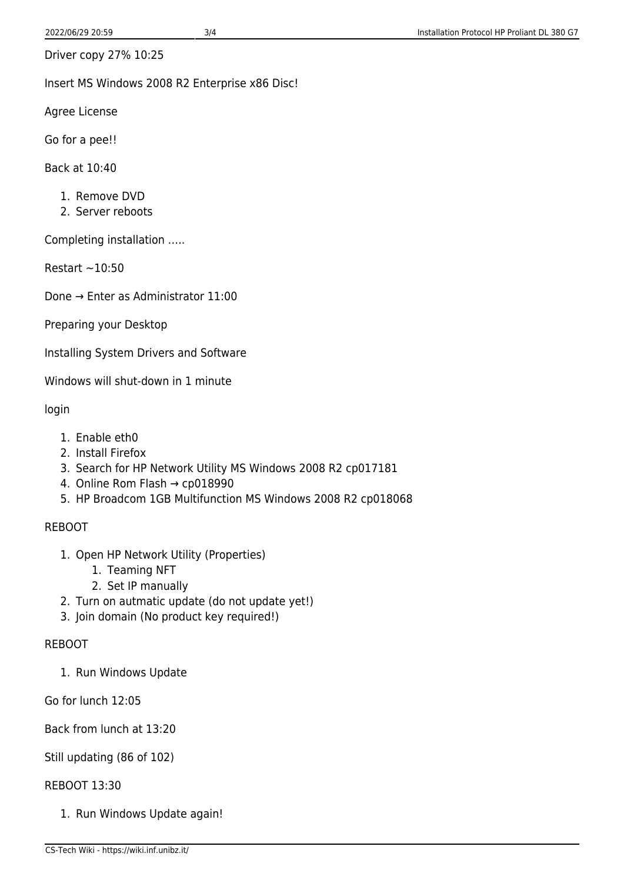Driver copy 27% 10:25

Insert MS Windows 2008 R2 Enterprise x86 Disc!

Agree License

Go for a pee!!

Back at 10:40

- 1. Remove DVD
- 2. Server reboots

Completing installation …..

Restart  $\sim$  10:50

Done → Enter as Administrator 11:00

Preparing your Desktop

Installing System Drivers and Software

Windows will shut-down in 1 minute

login

- 1. Enable eth0
- 2. Install Firefox
- 3. Search for HP Network Utility MS Windows 2008 R2 cp017181
- 4. Online Rom Flash → cp018990
- 5. HP Broadcom 1GB Multifunction MS Windows 2008 R2 cp018068

#### REBOOT

- 1. Open HP Network Utility (Properties)
	- 1. Teaming NFT
	- 2. Set IP manually
- 2. Turn on autmatic update (do not update yet!)
- 3. Join domain (No product key required!)

#### REBOOT

1. Run Windows Update

Go for lunch 12:05

Back from lunch at 13:20

#### Still updating (86 of 102)

#### REBOOT 13:30

1. Run Windows Update again!